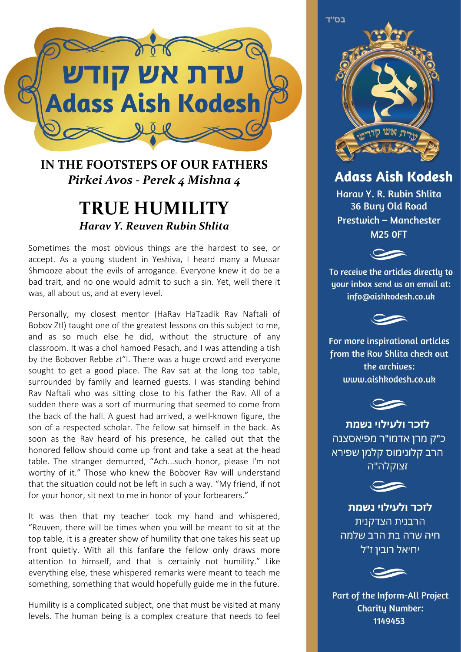

## **IN THE FOOTSTEPS OF OUR FATHERS** *Pirkei Avos - Perek 4 Mishna 4*

## **TRUE HUMILITY** *Harav Y. Reuven Rubin Shlita*

Sometimes the most obvious things are the hardest to see, or accept. As a young student in Yeshiva, I heard many a Mussar Shmooze about the evils of arrogance. Everyone knew it do be a bad trait, and no one would admit to such a sin. Yet, well there it was, all about us, and at every level.

Personally, my closest mentor (HaRav HaTzadik Rav Naftali of Bobov Ztl) taught one of the greatest lessons on this subject to me, and as so much else he did, without the structure of any classroom. It was a chol hamoed Pesach, and I was attending a tish by the Bobover Rebbe zt"l. There was a huge crowd and everyone sought to get a good place. The Rav sat at the long top table, surrounded by family and learned guests. I was standing behind Rav Naftali who was sitting close to his father the Rav. All of a sudden there was a sort of murmuring that seemed to come from the back of the hall. A guest had arrived, a well-known figure, the son of a respected scholar. The fellow sat himself in the back. As soon as the Rav heard of his presence, he called out that the honored fellow should come up front and take a seat at the head table. The stranger demurred, "Ach...such honor, please I'm not worthy of it." Those who knew the Bobover Rav will understand that the situation could not be left in such a way. "My friend, if not for your honor, sit next to me in honor of your forbearers."

It was then that my teacher took my hand and whispered, "Reuven, there will be times when you will be meant to sit at the top table, it is a greater show of humility that one takes his seat up front quietly. With all this fanfare the fellow only draws more attention to himself, and that is certainly not humility." Like everything else, these whispered remarks were meant to teach me something, something that would hopefully guide me in the future.

Humility is a complicated subject, one that must be visited at many levels. The human being is a complex creature that needs to feel



**Adass Aish Kodesh** 

Harau Y. R. Rubin Shlita **36 Bury Old Road** Prestwich - Manchester **M25 OFT** 



To receive the articles directly to uour inbox send us an email at: info@aishkodesh.co.uk



For more inspirational articles from the Rou Shlita check out the archives: www.aishkodesh.co.uk



לזכר ולעילוי נשמת כ"ק מרן אדמו"ר מפיאסצנה הרב קלונימוס קלמן שפירא זצוקלה"ה



לזכר ולעילוי נשמת הרבנית הצדקנית חיה שרה בת הרב שלמה יחיאל רובין ז"ל



Part of the Inform-All Project **Charity Number:** 1149453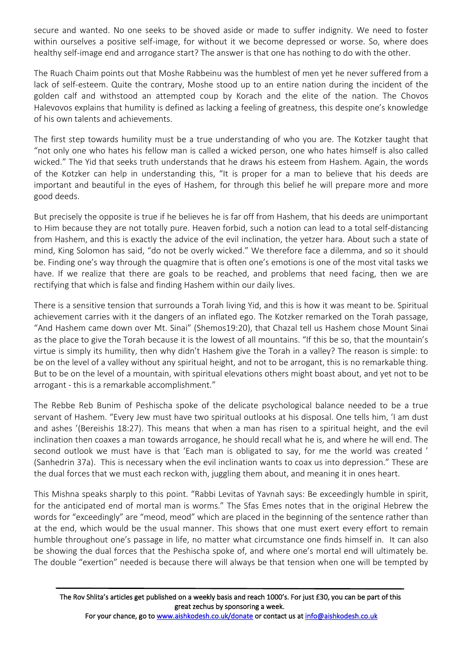secure and wanted. No one seeks to be shoved aside or made to suffer indignity. We need to foster within ourselves a positive self-image, for without it we become depressed or worse. So, where does healthy self-image end and arrogance start? The answer is that one has nothing to do with the other.

The Ruach Chaim points out that Moshe Rabbeinu was the humblest of men yet he never suffered from a lack of self-esteem. Quite the contrary, Moshe stood up to an entire nation during the incident of the golden calf and withstood an attempted coup by Korach and the elite of the nation. The Chovos Halevovos explains that humility is defined as lacking a feeling of greatness, this despite one's knowledge of his own talents and achievements.

The first step towards humility must be a true understanding of who you are. The Kotzker taught that "not only one who hates his fellow man is called a wicked person, one who hates himself is also called wicked." The Yid that seeks truth understands that he draws his esteem from Hashem. Again, the words of the Kotzker can help in understanding this, "It is proper for a man to believe that his deeds are important and beautiful in the eyes of Hashem, for through this belief he will prepare more and more good deeds.

But precisely the opposite is true if he believes he is far off from Hashem, that his deeds are unimportant to Him because they are not totally pure. Heaven forbid, such a notion can lead to a total self-distancing from Hashem, and this is exactly the advice of the evil inclination, the yetzer hara. About such a state of mind, King Solomon has said, "do not be overly wicked." We therefore face a dilemma, and so it should be. Finding one's way through the quagmire that is often one's emotions is one of the most vital tasks we have. If we realize that there are goals to be reached, and problems that need facing, then we are rectifying that which is false and finding Hashem within our daily lives.

There is a sensitive tension that surrounds a Torah living Yid, and this is how it was meant to be. Spiritual achievement carries with it the dangers of an inflated ego. The Kotzker remarked on the Torah passage, "And Hashem came down over Mt. Sinai" (Shemos19:20), that Chazal tell us Hashem chose Mount Sinai as the place to give the Torah because it is the lowest of all mountains. "If this be so, that the mountain's virtue is simply its humility, then why didn't Hashem give the Torah in a valley? The reason is simple: to be on the level of a valley without any spiritual height, and not to be arrogant, this is no remarkable thing. But to be on the level of a mountain, with spiritual elevations others might boast about, and yet not to be arrogant - this is a remarkable accomplishment."

The Rebbe Reb Bunim of Peshischa spoke of the delicate psychological balance needed to be a true servant of Hashem. "Every Jew must have two spiritual outlooks at his disposal. One tells him, 'I am dust and ashes '(Bereishis 18:27). This means that when a man has risen to a spiritual height, and the evil inclination then coaxes a man towards arrogance, he should recall what he is, and where he will end. The second outlook we must have is that 'Each man is obligated to say, for me the world was created ' (Sanhedrin 37a). This is necessary when the evil inclination wants to coax us into depression." These are the dual forces that we must each reckon with, juggling them about, and meaning it in ones heart.

This Mishna speaks sharply to this point. "Rabbi Levitas of Yavnah says: Be exceedingly humble in spirit, for the anticipated end of mortal man is worms." The Sfas Emes notes that in the original Hebrew the words for "exceedingly" are "meod, meod" which are placed in the beginning of the sentence rather than at the end, which would be the usual manner. This shows that one must exert every effort to remain humble throughout one's passage in life, no matter what circumstance one finds himself in. It can also be showing the dual forces that the Peshischa spoke of, and where one's mortal end will ultimately be. The double "exertion" needed is because there will always be that tension when one will be tempted by